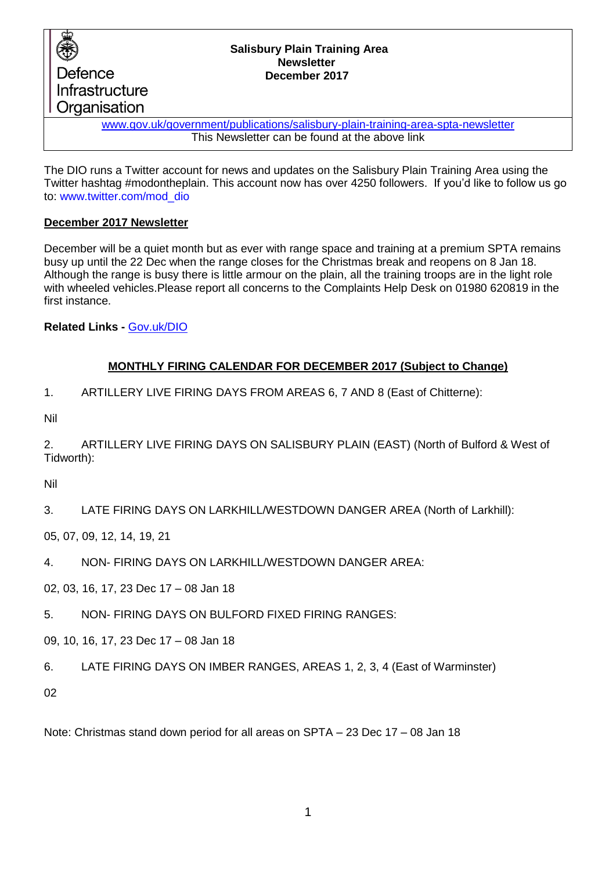Infrastructure Organisation [www.gov.uk/government/publications/salisbury-plain-training-area-spta-newsletter](http://www.gov.uk/government/publications/salisbury-plain-training-area-spta-newsletter) This Newsletter can be found at the above link

 **Salisbury Plain Training Area Newsletter December 2017**

The DIO runs a Twitter account for news and updates on the Salisbury Plain Training Area using the Twitter hashtag #modontheplain. This account now has over 4250 followers. If you'd like to follow us go to: [www.twitter.com/mod\\_dio](http://www.twitter.com/mod_dio)

## **December 2017 Newsletter**

Defence

December will be a quiet month but as ever with range space and training at a premium SPTA remains busy up until the 22 Dec when the range closes for the Christmas break and reopens on 8 Jan 18. Although the range is busy there is little armour on the plain, all the training troops are in the light role with wheeled vehicles.Please report all concerns to the Complaints Help Desk on 01980 620819 in the first instance.

**Related Links -** [Gov.uk/DIO](https://www.gov.uk/government/organisations/defence-infrastructure-organisation)

## **MONTHLY FIRING CALENDAR FOR DECEMBER 2017 (Subject to Change)**

1. ARTILLERY LIVE FIRING DAYS FROM AREAS 6, 7 AND 8 (East of Chitterne):

Nil

2. ARTILLERY LIVE FIRING DAYS ON SALISBURY PLAIN (EAST) (North of Bulford & West of Tidworth):

Nil

3. LATE FIRING DAYS ON LARKHILL/WESTDOWN DANGER AREA (North of Larkhill):

05, 07, 09, 12, 14, 19, 21

4. NON- FIRING DAYS ON LARKHILL/WESTDOWN DANGER AREA:

02, 03, 16, 17, 23 Dec 17 – 08 Jan 18

5. NON- FIRING DAYS ON BULFORD FIXED FIRING RANGES:

09, 10, 16, 17, 23 Dec 17 – 08 Jan 18

6. LATE FIRING DAYS ON IMBER RANGES, AREAS 1, 2, 3, 4 (East of Warminster)

02

Note: Christmas stand down period for all areas on SPTA – 23 Dec 17 – 08 Jan 18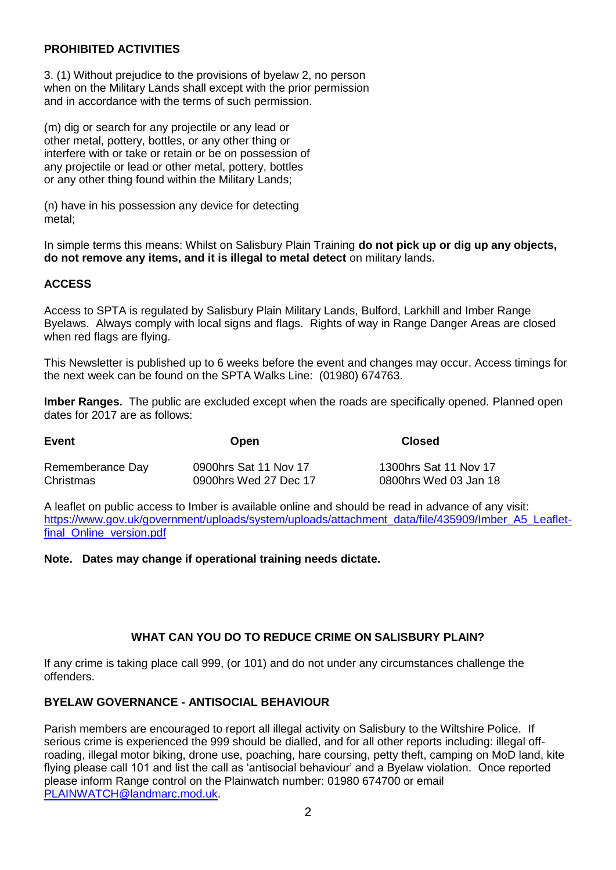## **PROHIBITED ACTIVITIES**

3. (1) Without prejudice to the provisions of byelaw 2, no person when on the Military Lands shall except with the prior permission and in accordance with the terms of such permission.

(m) dig or search for any projectile or any lead or other metal, pottery, bottles, or any other thing or interfere with or take or retain or be on possession of any projectile or lead or other metal, pottery, bottles or any other thing found within the Military Lands;

(n) have in his possession any device for detecting metal;

In simple terms this means: Whilst on Salisbury Plain Training **do not pick up or dig up any objects, do not remove any items, and it is illegal to metal detect** on military lands.

#### **ACCESS**

Access to SPTA is regulated by Salisbury Plain Military Lands, Bulford, Larkhill and Imber Range Byelaws. Always comply with local signs and flags. Rights of way in Range Danger Areas are closed when red flags are flying.

This Newsletter is published up to 6 weeks before the event and changes may occur. Access timings for the next week can be found on the SPTA Walks Line: (01980) 674763.

**Imber Ranges.** The public are excluded except when the roads are specifically opened. Planned open dates for 2017 are as follows:

| <b>Event</b>     | Open                  | <b>Closed</b>         |
|------------------|-----------------------|-----------------------|
| Rememberance Day | 0900hrs Sat 11 Nov 17 | 1300hrs Sat 11 Nov 17 |
| Christmas        | 0900hrs Wed 27 Dec 17 | 0800hrs Wed 03 Jan 18 |

A leaflet on public access to Imber is available online and should be read in advance of any visit: [https://www.gov.uk/government/uploads/system/uploads/attachment\\_data/file/435909/Imber\\_A5\\_Leaflet](https://www.gov.uk/government/uploads/system/uploads/attachment_data/file/435909/Imber_A5_Leaflet-final_Online_version.pdf)final Online version.pdf

**Note. Dates may change if operational training needs dictate.**

## **WHAT CAN YOU DO TO REDUCE CRIME ON SALISBURY PLAIN?**

If any crime is taking place call 999, (or 101) and do not under any circumstances challenge the offenders.

#### **BYELAW GOVERNANCE - ANTISOCIAL BEHAVIOUR**

Parish members are encouraged to report all illegal activity on Salisbury to the Wiltshire Police. If serious crime is experienced the 999 should be dialled, and for all other reports including: illegal offroading, illegal motor biking, drone use, poaching, hare coursing, petty theft, camping on MoD land, kite flying please call 101 and list the call as 'antisocial behaviour' and a Byelaw violation. Once reported please inform Range control on the Plainwatch number: 01980 674700 or email [PLAINWATCH@landmarc.mod.uk.](mailto:PLAINWATCH@landmarc.mod.uk)